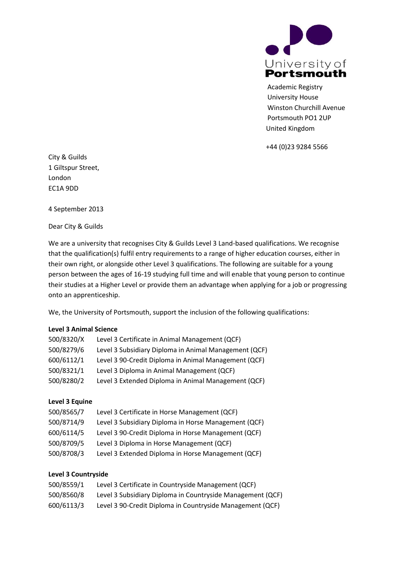

Academic Registry University House Winston Churchill Avenue Portsmouth PO1 2UP United Kingdom

[+44 \(0\)23 9284 5566](tel:%2B44%20%280%2923%209284%205566)

City & Guilds 1 Giltspur Street, London EC1A 9DD

4 September 2013

Dear City & Guilds

We are a university that recognises City & Guilds Level 3 Land-based qualifications. We recognise that the qualification(s) fulfil entry requirements to a range of higher education courses, either in their own right, or alongside other Level 3 qualifications. The following are suitable for a young person between the ages of 16-19 studying full time and will enable that young person to continue their studies at a Higher Level or provide them an advantage when applying for a job or progressing onto an apprenticeship.

We, the University of Portsmouth, support the inclusion of the following qualifications:

### **Level 3 Animal Science**

| 500/8320/X | Level 3 Certificate in Animal Management (QCF)        |
|------------|-------------------------------------------------------|
| 500/8279/6 | Level 3 Subsidiary Diploma in Animal Management (QCF) |
| 600/6112/1 | Level 3 90-Credit Diploma in Animal Management (QCF)  |
| 500/8321/1 | Level 3 Diploma in Animal Management (QCF)            |
| 500/8280/2 | Level 3 Extended Diploma in Animal Management (QCF)   |

### **Level 3 Equine**

| 500/8565/7 | Level 3 Certificate in Horse Management (QCF)        |
|------------|------------------------------------------------------|
| 500/8714/9 | Level 3 Subsidiary Diploma in Horse Management (QCF) |
| 600/6114/5 | Level 3 90-Credit Diploma in Horse Management (QCF)  |
| 500/8709/5 | Level 3 Diploma in Horse Management (QCF)            |
| 500/8708/3 | Level 3 Extended Diploma in Horse Management (QCF)   |

# **Level 3 Countryside**

| 500/8559/1 | Level 3 Certificate in Countryside Management (QCF)        |
|------------|------------------------------------------------------------|
| 500/8560/8 | Level 3 Subsidiary Diploma in Countryside Management (QCF) |
| 600/6113/3 | Level 3 90-Credit Diploma in Countryside Management (QCF)  |